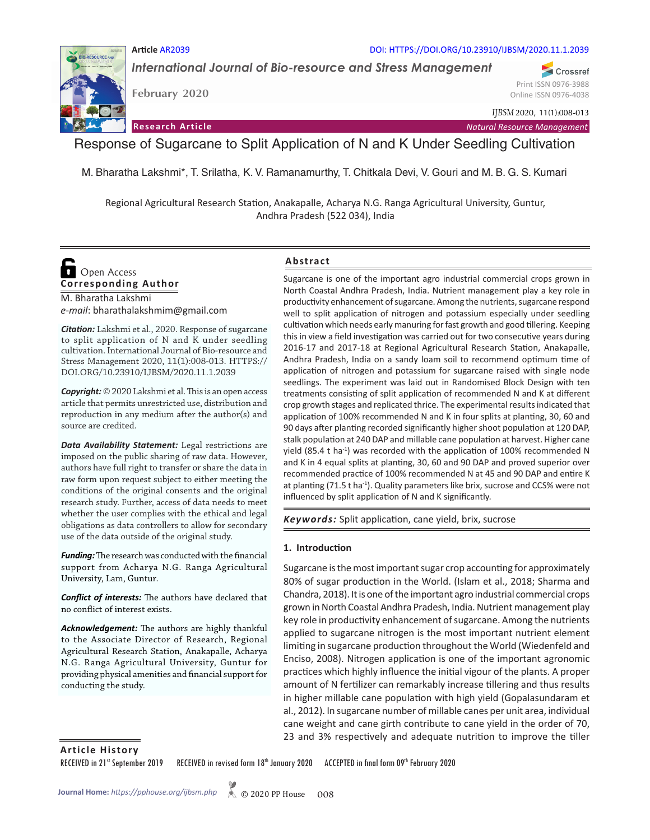

*International Journal of Bio-resource and Stress Management* **Article** AR2039 DOI: HTTPS://DOI.ORG/10.23910/IJBSM/2020.11.1.2039

**February 2020**

Online ISSN 0976-4038

Print ISSN 0976-3988

Crossref

**Research Article** *Natural Resource Management*

*IJBSM* 2020, 11(1):008-013

## Response of Sugarcane to Split Application of N and K Under Seedling Cultivation

M. Bharatha Lakshmi\*, T. Srilatha, K. V. Ramanamurthy, T. Chitkala Devi, V. Gouri and M. B. G. S. Kumari

Regional Agricultural Research Station, Anakapalle, Acharya N.G. Ranga Agricultural University, Guntur, Andhra Pradesh (522 034), India

# **Corresponding Author O** Open Access

M. Bharatha Lakshmi *e-mail*: bharathalakshmim@gmail.com

*Citation:* Lakshmi et al., 2020. Response of sugarcane to split application of N and K under seedling cultivation. International Journal of Bio-resource and Stress Management 2020, 11(1):008-013. HTTPS:// DOI.ORG/10.23910/IJBSM/2020.11.1.2039

*Copyright:* © 2020 Lakshmi et al. This is an open access article that permits unrestricted use, distribution and reproduction in any medium after the author(s) and source are credited.

*Data Availability Statement:* Legal restrictions are imposed on the public sharing of raw data. However, authors have full right to transfer or share the data in raw form upon request subject to either meeting the conditions of the original consents and the original research study. Further, access of data needs to meet whether the user complies with the ethical and legal obligations as data controllers to allow for secondary use of the data outside of the original study.

*Funding:* The research was conducted with the financial support from Acharya N.G. Ranga Agricultural University, Lam, Guntur.

*Conflict of interests:* The authors have declared that no conflict of interest exists.

*Acknowledgement:* The authors are highly thankful to the Associate Director of Research, Regional Agricultural Research Station, Anakapalle, Acharya N.G. Ranga Agricultural University, Guntur for providing physical amenities and financial support for conducting the study.

#### **Abstract**

Sugarcane is one of the important agro industrial commercial crops grown in North Coastal Andhra Pradesh, India. Nutrient management play a key role in productivity enhancement of sugarcane. Among the nutrients, sugarcane respond well to split application of nitrogen and potassium especially under seedling cultivation which needs early manuring for fast growth and good tillering. Keeping this in view a field investigation was carried out for two consecutive years during 2016-17 and 2017-18 at Regional Agricultural Research Station, Anakapalle, Andhra Pradesh, India on a sandy loam soil to recommend optimum time of application of nitrogen and potassium for sugarcane raised with single node seedlings. The experiment was laid out in Randomised Block Design with ten treatments consisting of split application of recommended N and K at different crop growth stages and replicated thrice. The experimental results indicated that application of 100% recommended N and K in four splits at planting, 30, 60 and 90 days after planting recorded significantly higher shoot population at 120 DAP, stalk population at 240 DAP and millable cane population at harvest. Higher cane yield (85.4 t ha<sup>-1</sup>) was recorded with the application of 100% recommended N and K in 4 equal splits at planting, 30, 60 and 90 DAP and proved superior over recommended practice of 100% recommended N at 45 and 90 DAP and entire K at planting (71.5 t ha<sup>-1</sup>). Quality parameters like brix, sucrose and CCS% were not influenced by split application of N and K significantly.

*Keywords:* Split application, cane yield, brix, sucrose

#### **1. Introduction**

Sugarcane is the most important sugar crop accounting for approximately 80% of sugar production in the World. (Islam et al., 2018; Sharma and Chandra, 2018). It is one of the important agro industrial commercial crops grown in North Coastal Andhra Pradesh, India. Nutrient management play key role in productivity enhancement of sugarcane. Among the nutrients applied to sugarcane nitrogen is the most important nutrient element limiting in sugarcane production throughout the World (Wiedenfeld and Enciso, 2008). Nitrogen application is one of the important agronomic practices which highly influence the initial vigour of the plants. A proper amount of N fertilizer can remarkably increase tillering and thus results in higher millable cane population with high yield (Gopalasundaram et al., 2012). In sugarcane number of millable canes per unit area, individual cane weight and cane girth contribute to cane yield in the order of 70, 23 and 3% respectively and adequate nutrition to improve the tiller

**Article History**

RECEIVED in 21st September 2019 RECEIVED in revised form 18th January 2020 ACCEPTED in final form 09th February 2020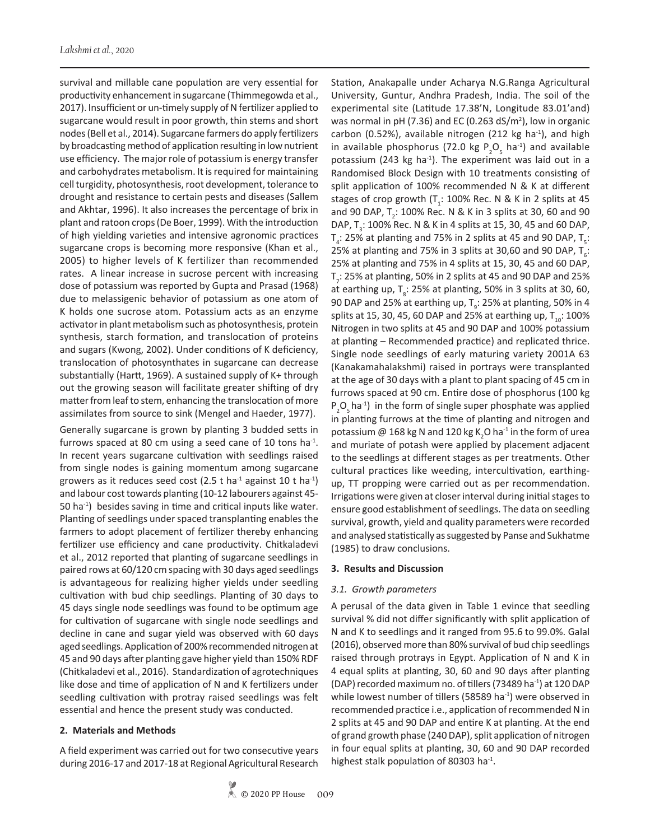survival and millable cane population are very essential for productivity enhancement in sugarcane (Thimmegowda et al., 2017). Insufficient or un-timely supply of N fertilizer applied to sugarcane would result in poor growth, thin stems and short nodes (Bell et al., 2014). Sugarcane farmers do apply fertilizers by broadcasting method of application resulting in low nutrient use efficiency. The major role of potassium is energy transfer and carbohydrates metabolism. It is required for maintaining cell turgidity, photosynthesis, root development, tolerance to drought and resistance to certain pests and diseases (Sallem and Akhtar, 1996). It also increases the percentage of brix in plant and ratoon crops (De Boer, 1999). With the introduction of high yielding varieties and intensive agronomic practices sugarcane crops is becoming more responsive (Khan et al., 2005) to higher levels of K fertilizer than recommended rates. A linear increase in sucrose percent with increasing dose of potassium was reported by Gupta and Prasad (1968) due to melassigenic behavior of potassium as one atom of K holds one sucrose atom. Potassium acts as an enzyme activator in plant metabolism such as photosynthesis, protein synthesis, starch formation, and translocation of proteins and sugars (Kwong, 2002). Under conditions of K deficiency, translocation of photosynthates in sugarcane can decrease substantially (Hartt, 1969). A sustained supply of K+ through out the growing season will facilitate greater shifting of dry matter from leaf to stem, enhancing the translocation of more assimilates from source to sink (Mengel and Haeder, 1977).

Generally sugarcane is grown by planting 3 budded setts in furrows spaced at 80 cm using a seed cane of 10 tons ha<sup>-1</sup>. In recent years sugarcane cultivation with seedlings raised from single nodes is gaining momentum among sugarcane growers as it reduces seed cost (2.5 t ha<sup>-1</sup> against 10 t ha<sup>-1</sup>) and labour cost towards planting (10-12 labourers against 45- 50 ha-1) besides saving in time and critical inputs like water. Planting of seedlings under spaced transplanting enables the farmers to adopt placement of fertilizer thereby enhancing fertilizer use efficiency and cane productivity. Chitkaladevi et al., 2012 reported that planting of sugarcane seedlings in paired rows at 60/120 cm spacing with 30 days aged seedlings is advantageous for realizing higher yields under seedling cultivation with bud chip seedlings. Planting of 30 days to 45 days single node seedlings was found to be optimum age for cultivation of sugarcane with single node seedlings and decline in cane and sugar yield was observed with 60 days aged seedlings. Application of 200% recommended nitrogen at 45 and 90 days after planting gave higher yield than 150% RDF (Chitkaladevi et al., 2016). Standardization of agrotechniques like dose and time of application of N and K fertilizers under seedling cultivation with protray raised seedlings was felt essential and hence the present study was conducted.

## **2. Materials and Methods**

A field experiment was carried out for two consecutive years during 2016-17 and 2017-18 at Regional Agricultural Research Station, Anakapalle under Acharya N.G.Ranga Agricultural University, Guntur, Andhra Pradesh, India. The soil of the experimental site (Latitude 17.38'N, Longitude 83.01'and) was normal in pH (7.36) and EC (0.263  $dS/m<sup>2</sup>$ ), low in organic carbon (0.52%), available nitrogen (212 kg ha $^{-1}$ ), and high in available phosphorus (72.0 kg  $P_2O_5$  ha<sup>-1</sup>) and available potassium (243 kg ha $^{-1}$ ). The experiment was laid out in a Randomised Block Design with 10 treatments consisting of split application of 100% recommended N & K at different stages of crop growth  $(T_i: 100\%$  Rec. N & K in 2 splits at 45 and 90 DAP,  $T_2$ : 100% Rec. N & K in 3 splits at 30, 60 and 90 DAP,  $T_{3}$ : 100% Rec. N & K in 4 splits at 15, 30, 45 and 60 DAP,  $T_4$ : 25% at planting and 75% in 2 splits at 45 and 90 DAP,  $T_5$ : 25% at planting and 75% in 3 splits at 30,60 and 90 DAP,  $T_{6}$ : 25% at planting and 75% in 4 splits at 15, 30, 45 and 60 DAP,  $T$ <sub>7</sub>: 25% at planting, 50% in 2 splits at 45 and 90 DAP and 25% at earthing up,  $T_{\rm g}$ : 25% at planting, 50% in 3 splits at 30, 60, 90 DAP and 25% at earthing up,  $T_g$ : 25% at planting, 50% in 4 splits at 15, 30, 45, 60 DAP and 25% at earthing up,  $T_{10}$ : 100% Nitrogen in two splits at 45 and 90 DAP and 100% potassium at planting – Recommended practice) and replicated thrice. Single node seedlings of early maturing variety 2001A 63 (Kanakamahalakshmi) raised in portrays were transplanted at the age of 30 days with a plant to plant spacing of 45 cm in furrows spaced at 90 cm. Entire dose of phosphorus (100 kg  $P_2O_5$  ha<sup>-1</sup>) in the form of single super phosphate was applied in planting furrows at the time of planting and nitrogen and potassium @ 168 kg N and 120 kg K<sub>2</sub>O ha $^{\text{-}1}$  in the form of urea and muriate of potash were applied by placement adjacent to the seedlings at different stages as per treatments. Other cultural practices like weeding, intercultivation, earthingup, TT propping were carried out as per recommendation. Irrigations were given at closer interval during initial stages to ensure good establishment of seedlings. The data on seedling survival, growth, yield and quality parameters were recorded and analysed statistically as suggested by Panse and Sukhatme (1985) to draw conclusions.

#### **3. Results and Discussion**

## *3.1. Growth parameters*

A perusal of the data given in Table 1 evince that seedling survival % did not differ significantly with split application of N and K to seedlings and it ranged from 95.6 to 99.0%. Galal (2016), observed more than 80% survival of bud chip seedlings raised through protrays in Egypt. Application of N and K in 4 equal splits at planting, 30, 60 and 90 days after planting (DAP) recorded maximum no. of tillers (73489 ha<sup>-1</sup>) at 120 DAP while lowest number of tillers (58589 ha<sup>-1</sup>) were observed in recommended practice i.e., application of recommended N in 2 splits at 45 and 90 DAP and entire K at planting. At the end of grand growth phase (240 DAP), split application of nitrogen in four equal splits at planting, 30, 60 and 90 DAP recorded highest stalk population of 80303 ha $^{-1}$ .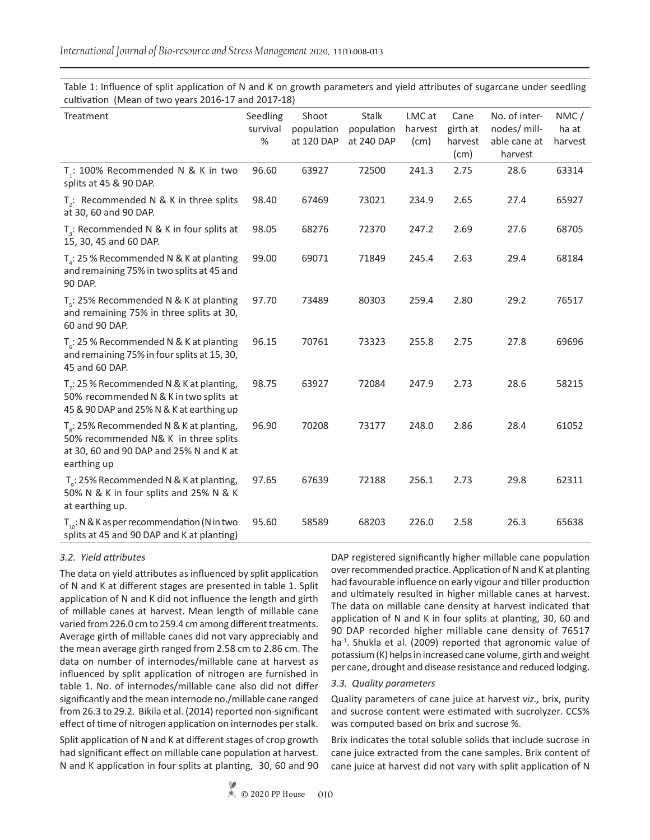Treatment Seedling survival % Shoot population at 120 DAP Stalk population at 240 DAP LMC at harvest (cm) Cane girth at harvest (cm) No. of internodes/ millable cane at harvest NMC / ha at harvest  $\mathsf{T}_1$ : 100% Recommended N & K in two splits at 45 & 90 DAP. 96.60 63927 72500 241.3 2.75 28.6 63314  $T_2$ : Recommended N & K in three splits at 30, 60 and 90 DAP. 98.40 67469 73021 234.9 2.65 27.4 65927  $T_{3}$ : Recommended N & K in four splits at 15, 30, 45 and 60 DAP. 98.05 68276 72370 247.2 2.69 27.6 68705  $T_4$ : 25 % Recommended N & K at planting and remaining 75% in two splits at 45 and 90 DAP. 99.00 69071 71849 245.4 2.63 29.4 68184  $\mathsf{T}_5$ : 25% Recommended N & K at planting and remaining 75% in three splits at 30, 60 and 90 DAP. 97.70 73489 80303 259.4 2.80 29.2 76517  $\mathsf{T}_6$ : 25 % Recommended N & K at planting and remaining 75% in four splits at 15, 30, 45 and 60 DAP. 96.15 70761 73323 255.8 2.75 27.8 69696  $T<sub>7</sub>$ : 25 % Recommended N & K at planting, 50% recommended N & K in two splits at 45 & 90 DAP and 25% N & K at earthing up 98.75 63927 72084 247.9 2.73 28.6 58215  ${\sf T}_{\rm g}$ : 25% Recommended N & K at planting, 50% recommended N& K in three splits at 30, 60 and 90 DAP and 25% N and K at earthing up 96.90 70208 73177 248.0 2.86 28.4 61052  $T_g$ : 25% Recommended N & K at planting, 50% N & K in four splits and 25% N & K at earthing up. 97.65 67639 72188 256.1 2.73 29.8 62311  $T_{10}$ : N & K as per recommendation (N in two splits at 45 and 90 DAP and K at planting) 95.60 58589 68203 226.0 2.58 26.3 65638

Table 1: Influence of split application of N and K on growth parameters and yield attributes of sugarcane under seedling cultivation (Mean of two years 2016-17 and 2017-18)

## *3.2. Yield attributes*

The data on yield attributes as influenced by split application of N and K at different stages are presented in table 1. Split application of N and K did not influence the length and girth of millable canes at harvest. Mean length of millable cane varied from 226.0 cm to 259.4 cm among different treatments. Average girth of millable canes did not vary appreciably and the mean average girth ranged from 2.58 cm to 2.86 cm. The data on number of internodes/millable cane at harvest as influenced by split application of nitrogen are furnished in table 1. No. of internodes/millable cane also did not differ significantly and the mean internode no./millable cane ranged from 26.3 to 29.2. Bikila et al. (2014) reported non-significant effect of time of nitrogen application on internodes per stalk.

Split application of N and K at different stages of crop growth had significant effect on millable cane population at harvest. N and K application in four splits at planting, 30, 60 and 90 DAP registered significantly higher millable cane population over recommended practice. Application of N and K at planting had favourable influence on early vigour and tiller production and ultimately resulted in higher millable canes at harvest. The data on millable cane density at harvest indicated that application of N and K in four splits at planting, 30, 60 and 90 DAP recorded higher millable cane density of 76517 ha<sup>-1</sup>. Shukla et al. (2009) reported that agronomic value of potassium (K) helps in increased cane volume, girth and weight per cane, drought and disease resistance and reduced lodging.

#### *3.3. Quality parameters*

Quality parameters of cane juice at harvest *viz.,* brix, purity and sucrose content were estimated with sucrolyzer. CCS% was computed based on brix and sucrose %.

Brix indicates the total soluble solids that include sucrose in cane juice extracted from the cane samples. Brix content of cane juice at harvest did not vary with split application of N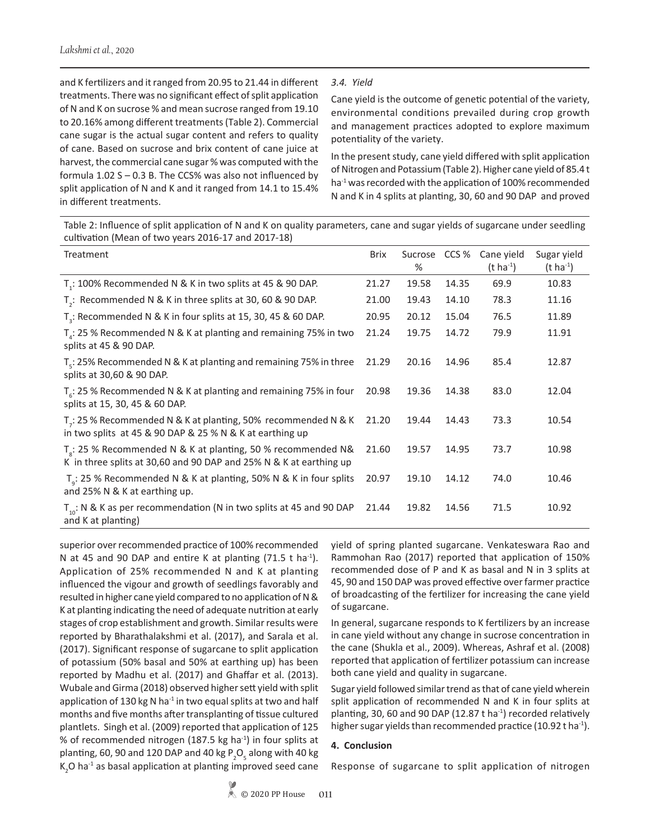and K fertilizers and it ranged from 20.95 to 21.44 in different treatments. There was no significant effect of split application of N and K on sucrose % and mean sucrose ranged from 19.10 to 20.16% among different treatments (Table 2). Commercial cane sugar is the actual sugar content and refers to quality of cane. Based on sucrose and brix content of cane juice at harvest, the commercial cane sugar % was computed with the formula  $1.02 S - 0.3 B$ . The CCS% was also not influenced by split application of N and K and it ranged from 14.1 to 15.4% in different treatments.

## *3.4. Yield*

Cane yield is the outcome of genetic potential of the variety, environmental conditions prevailed during crop growth and management practices adopted to explore maximum potentiality of the variety.

In the present study, cane yield differed with split application of Nitrogen and Potassium (Table 2). Higher cane yield of 85.4 t ha<sup>-1</sup> was recorded with the application of 100% recommended N and K in 4 splits at planting, 30, 60 and 90 DAP and proved

Table 2: Influence of split application of N and K on quality parameters, cane and sugar yields of sugarcane under seedling cultivation (Mean of two years 2016-17 and 2017-18)

| Treatment                                                                                                                             | <b>Brix</b> | Sucrose<br>% | CCS % | Cane yield<br>$(t \; ha^{-1})$ | Sugar yield<br>$(t \; ha^{-1})$ |
|---------------------------------------------------------------------------------------------------------------------------------------|-------------|--------------|-------|--------------------------------|---------------------------------|
| T <sub>1</sub> : 100% Recommended N & K in two splits at 45 & 90 DAP.                                                                 | 21.27       | 19.58        | 14.35 | 69.9                           | 10.83                           |
| $T2$ : Recommended N & K in three splits at 30, 60 & 90 DAP.                                                                          | 21.00       | 19.43        | 14.10 | 78.3                           | 11.16                           |
| $T3$ : Recommended N & K in four splits at 15, 30, 45 & 60 DAP.                                                                       | 20.95       | 20.12        | 15.04 | 76.5                           | 11.89                           |
| $T_{\rm A}$ : 25 % Recommended N & K at planting and remaining 75% in two<br>splits at 45 & 90 DAP.                                   | 21.24       | 19.75        | 14.72 | 79.9                           | 11.91                           |
| $T_c$ : 25% Recommended N & K at planting and remaining 75% in three<br>splits at 30,60 & 90 DAP.                                     | 21.29       | 20.16        | 14.96 | 85.4                           | 12.87                           |
| $T_{\rm g}$ : 25 % Recommended N & K at planting and remaining 75% in four<br>splits at 15, 30, 45 & 60 DAP.                          | 20.98       | 19.36        | 14.38 | 83.0                           | 12.04                           |
| $Tz: 25$ % Recommended N & K at planting, 50% recommended N & K<br>in two splits at 45 & 90 DAP & 25 % N & K at earthing up           | 21.20       | 19.44        | 14.43 | 73.3                           | 10.54                           |
| $T_s$ : 25 % Recommended N & K at planting, 50 % recommended N&<br>K in three splits at 30,60 and 90 DAP and 25% N & K at earthing up | 21.60       | 19.57        | 14.95 | 73.7                           | 10.98                           |
| $T_a$ : 25 % Recommended N & K at planting, 50% N & K in four splits<br>and 25% N & K at earthing up.                                 | 20.97       | 19.10        | 14.12 | 74.0                           | 10.46                           |
| $T_{10}$ : N & K as per recommendation (N in two splits at 45 and 90 DAP<br>and K at planting)                                        | 21.44       | 19.82        | 14.56 | 71.5                           | 10.92                           |

superior over recommended practice of 100% recommended N at 45 and 90 DAP and entire K at planting  $(71.5 \text{ t} \text{ ha}^{-1})$ . Application of 25% recommended N and K at planting influenced the vigour and growth of seedlings favorably and resulted in higher cane yield compared to no application of N & K at planting indicating the need of adequate nutrition at early stages of crop establishment and growth. Similar results were reported by Bharathalakshmi et al. (2017), and Sarala et al. (2017). Significant response of sugarcane to split application of potassium (50% basal and 50% at earthing up) has been reported by Madhu et al. (2017) and Ghaffar et al. (2013). Wubale and Girma (2018) observed higher sett yield with split application of 130 kg N ha<sup>-1</sup> in two equal splits at two and half months and five months after transplanting of tissue cultured plantlets. Singh et al. (2009) reported that application of 125 % of recommended nitrogen (187.5 kg ha-1) in four splits at planting, 60, 90 and 120 DAP and 40 kg  $\mathsf{P}_\mathsf{2}\mathsf{O}_\mathsf{5}$  along with 40 kg  $K_2$ O ha<sup>-1</sup> as basal application at planting improved seed cane yield of spring planted sugarcane. Venkateswara Rao and Rammohan Rao (2017) reported that application of 150% recommended dose of P and K as basal and N in 3 splits at 45, 90 and 150 DAP was proved effective over farmer practice of broadcasting of the fertilizer for increasing the cane yield of sugarcane.

In general, sugarcane responds to K fertilizers by an increase in cane yield without any change in sucrose concentration in the cane (Shukla et al., 2009). Whereas, Ashraf et al. (2008) reported that application of fertilizer potassium can increase both cane yield and quality in sugarcane.

Sugar yield followed similar trend as that of cane yield wherein split application of recommended N and K in four splits at planting, 30, 60 and 90 DAP (12.87 t ha<sup>-1</sup>) recorded relatively higher sugar yields than recommended practice (10.92 t ha $^{-1}$ ).

#### **4. Conclusion**

Response of sugarcane to split application of nitrogen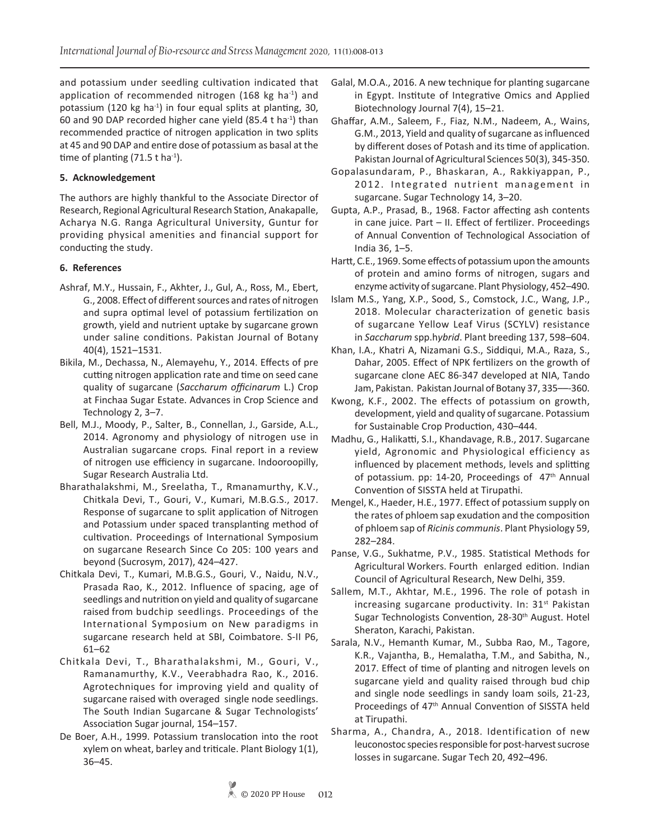and potassium under seedling cultivation indicated that application of recommended nitrogen (168 kg ha $^{-1}$ ) and potassium (120 kg ha<sup>-1</sup>) in four equal splits at planting, 30, 60 and 90 DAP recorded higher cane yield (85.4 t ha-1) than recommended practice of nitrogen application in two splits at 45 and 90 DAP and entire dose of potassium as basal at the time of planting  $(71.5 \text{ t} \text{ ha}^{-1})$ .

## **5. Acknowledgement**

The authors are highly thankful to the Associate Director of Research, Regional Agricultural Research Station, Anakapalle, Acharya N.G. Ranga Agricultural University, Guntur for providing physical amenities and financial support for conducting the study.

#### **6. References**

- Ashraf, M.Y., Hussain, F., Akhter, J., Gul, A., Ross, M., Ebert, G., 2008. Effect of different sources and rates of nitrogen and supra optimal level of potassium fertilization on growth, yield and nutrient uptake by sugarcane grown under saline conditions. Pakistan Journal of Botany 40(4), 1521–1531.
- Bikila, M., Dechassa, N., Alemayehu, Y., 2014. Effects of pre cutting nitrogen application rate and time on seed cane quality of sugarcane (*Saccharum officinarum* L.) Crop at Finchaa Sugar Estate. Advances in Crop Science and Technology 2, 3–7.
- Bell, M.J., Moody, P., Salter, B., Connellan, J., Garside, A.L., 2014. Agronomy and physiology of nitrogen use in Australian sugarcane crops*.* Final report in a review of nitrogen use efficiency in sugarcane. Indooroopilly, Sugar Research Australia Ltd.
- Bharathalakshmi, M., Sreelatha, T., Rmanamurthy, K.V., Chitkala Devi, T., Gouri, V., Kumari, M.B.G.S., 2017. Response of sugarcane to split application of Nitrogen and Potassium under spaced transplanting method of cultivation. Proceedings of International Symposium on sugarcane Research Since Co 205: 100 years and beyond (Sucrosym, 2017), 424–427.
- Chitkala Devi, T., Kumari, M.B.G.S., Gouri, V., Naidu, N.V., Prasada Rao, K., 2012. Influence of spacing, age of seedlings and nutrition on yield and quality of sugarcane raised from budchip seedlings. Proceedings of the International Symposium on New paradigms in sugarcane research held at SBI, Coimbatore. S-II P6, 61–62
- Chitkala Devi, T., Bharathalakshmi, M., Gouri, V., Ramanamurthy, K.V., Veerabhadra Rao, K., 2016. Agrotechniques for improving yield and quality of sugarcane raised with overaged single node seedlings. The South Indian Sugarcane & Sugar Technologists' Association Sugar journal, 154–157.
- De Boer, A.H., 1999. Potassium translocation into the root xylem on wheat, barley and triticale. Plant Biology 1(1), 36–45.
- Galal, M.O.A., 2016. A new technique for planting sugarcane in Egypt. Institute of Integrative Omics and Applied Biotechnology Journal 7(4), 15–21.
- Ghaffar, A.M., Saleem, F., Fiaz, N.M., Nadeem, A., Wains, G.M., 2013, Yield and quality of sugarcane as influenced by different doses of Potash and its time of application. Pakistan Journal of Agricultural Sciences 50(3), 345-350.
- Gopalasundaram, P., Bhaskaran, A., Rakkiyappan, P., 2012. Integrated nutrient management in sugarcane. Sugar Technology 14, 3–20.
- Gupta, A.P., Prasad, B., 1968. Factor affecting ash contents in cane juice. Part – II. Effect of fertilizer. Proceedings of Annual Convention of Technological Association of India 36, 1–5.
- Hartt, C.E., 1969. Some effects of potassium upon the amounts of protein and amino forms of nitrogen, sugars and enzyme activity of sugarcane. Plant Physiology, 452–490.
- Islam M.S., Yang, X.P., Sood, S., Comstock, J.C., Wang, J.P., 2018. Molecular characterization of genetic basis of sugarcane Yellow Leaf Virus (SCYLV) resistance in *Saccharum* spp.h*ybrid*. Plant breeding 137, 598–604.
- Khan, I.A., Khatri A, Nizamani G.S., Siddiqui, M.A., Raza, S., Dahar, 2005. Effect of NPK fertilizers on the growth of sugarcane clone AEC 86-347 developed at NIA, Tando Jam, Pakistan. Pakistan Journal of Botany 37, 335––-360.
- Kwong, K.F., 2002. The effects of potassium on growth, development, yield and quality of sugarcane. Potassium for Sustainable Crop Production, 430–444.
- Madhu, G., Halikatti, S.I., Khandavage, R.B., 2017. Sugarcane yield, Agronomic and Physiological efficiency as influenced by placement methods, levels and splitting of potassium. pp: 14-20, Proceedings of 47<sup>th</sup> Annual Convention of SISSTA held at Tirupathi.
- Mengel, K., Haeder, H.E., 1977. Effect of potassium supply on the rates of phloem sap exudation and the composition of phloem sap of *Ricinis communis*. Plant Physiology 59, 282–284.
- Panse, V.G., Sukhatme, P.V., 1985. Statistical Methods for Agricultural Workers. Fourth enlarged edition. Indian Council of Agricultural Research, New Delhi, 359.
- Sallem, M.T., Akhtar, M.E., 1996. The role of potash in increasing sugarcane productivity. In:  $31<sup>st</sup>$  Pakistan Sugar Technologists Convention, 28-30<sup>th</sup> August. Hotel Sheraton, Karachi, Pakistan.
- Sarala, N.V., Hemanth Kumar, M., Subba Rao, M., Tagore, K.R., Vajantha, B., Hemalatha, T.M., and Sabitha, N., 2017. Effect of time of planting and nitrogen levels on sugarcane yield and quality raised through bud chip and single node seedlings in sandy loam soils, 21-23, Proceedings of 47th Annual Convention of SISSTA held at Tirupathi.
- Sharma, A., Chandra, A., 2018. Identification of new leuconostoc species responsible for post-harvest sucrose losses in sugarcane. Sugar Tech 20, 492–496.